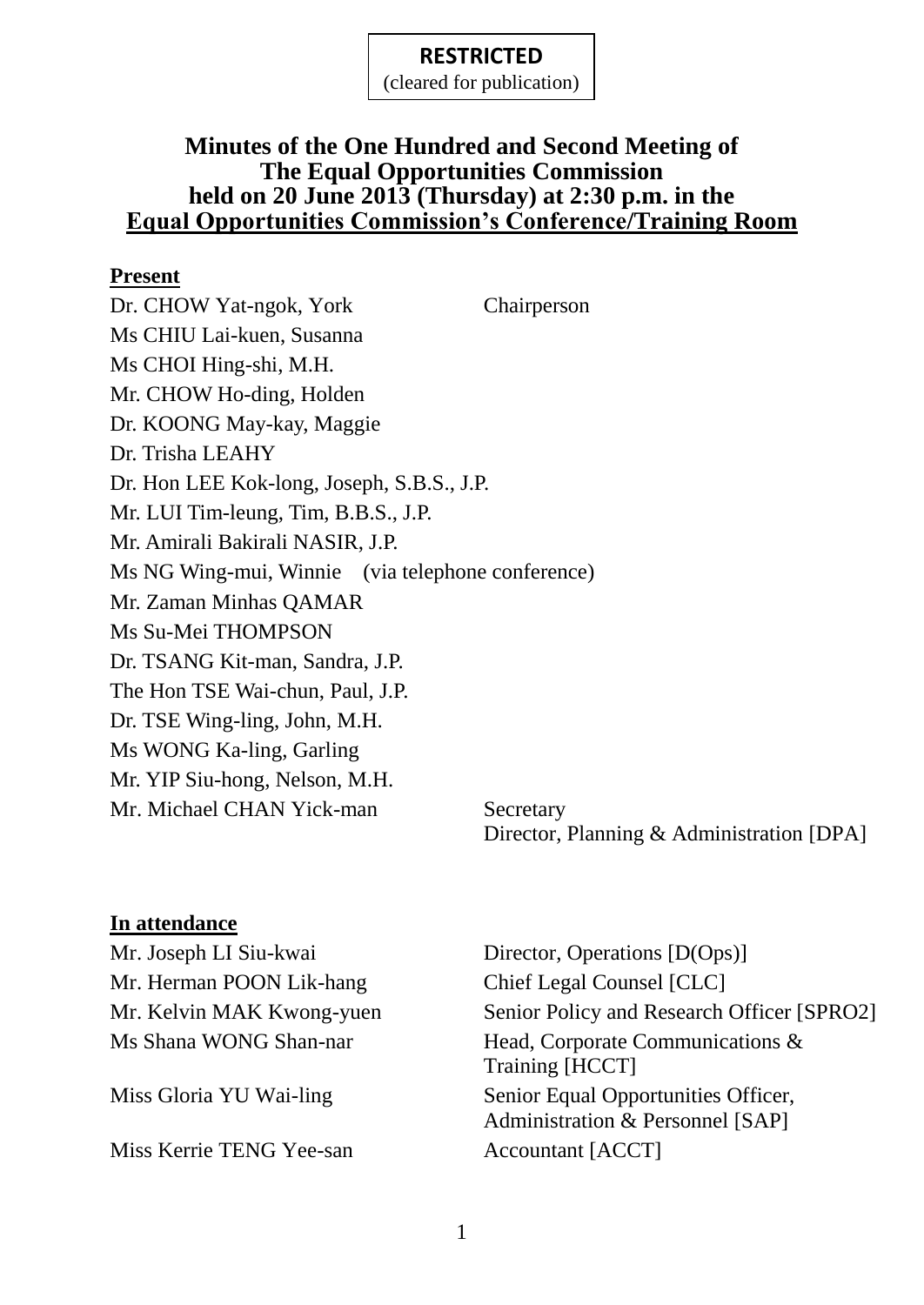(cleared for publication)

#### **Minutes of the One Hundred and Second Meeting of The Equal Opportunities Commission held on 20 June 2013 (Thursday) at 2:30 p.m. in the Equal Opportunities Commission's Conference/Training Room**

#### **Present**

Dr. CHOW Yat-ngok, York Chairperson Ms CHIU Lai-kuen, Susanna Ms CHOI Hing-shi, M.H. Mr. CHOW Ho-ding, Holden Dr. KOONG May-kay, Maggie Dr. Trisha LEAHY Dr. Hon LEE Kok-long, Joseph, S.B.S., J.P. Mr. LUI Tim-leung, Tim, B.B.S., J.P. Mr. Amirali Bakirali NASIR, J.P. Ms NG Wing-mui, Winnie (via telephone conference) Mr. Zaman Minhas QAMAR Ms Su-Mei THOMPSON Dr. TSANG Kit-man, Sandra, J.P. The Hon TSE Wai-chun, Paul, J.P. Dr. TSE Wing-ling, John, M.H. Ms WONG Ka-ling, Garling Mr. YIP Siu-hong, Nelson, M.H. Mr. Michael CHAN Yick-man Secretary

Director, Planning & Administration [DPA]

#### **In attendance**

| Mr. Joseph LI Siu-kwai    | Director, Operations [D(Ops)]                                           |
|---------------------------|-------------------------------------------------------------------------|
| Mr. Herman POON Lik-hang  | Chief Legal Counsel [CLC]                                               |
| Mr. Kelvin MAK Kwong-yuen | Senior Policy and Research Officer [SPRO2]                              |
| Ms Shana WONG Shan-nar    | Head, Corporate Communications &<br>Training [HCCT]                     |
| Miss Gloria YU Wai-ling   | Senior Equal Opportunities Officer,<br>Administration & Personnel [SAP] |
| Miss Kerrie TENG Yee-san  | Accountant [ACCT]                                                       |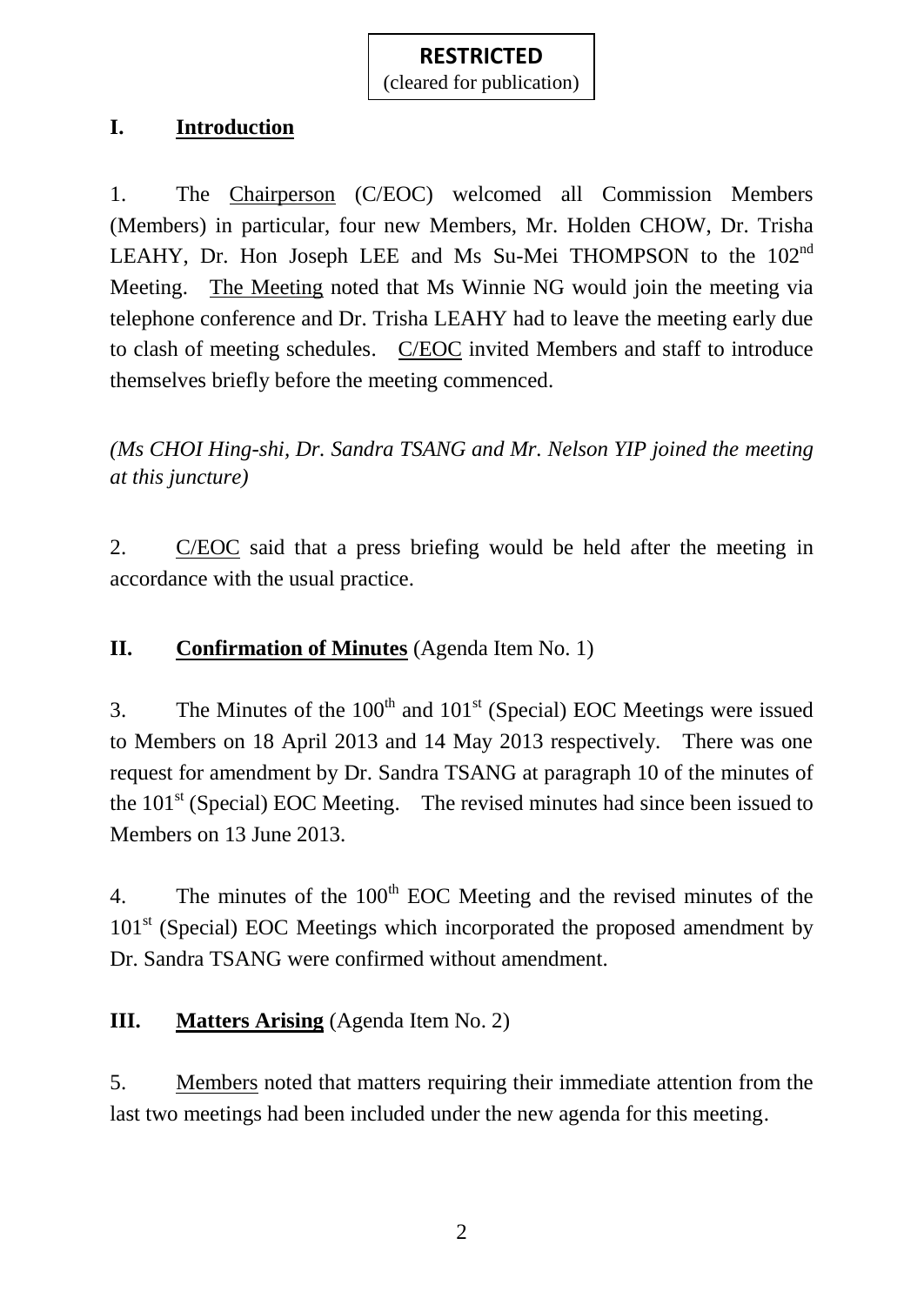### **I. Introduction**

1. The Chairperson (C/EOC) welcomed all Commission Members (Members) in particular, four new Members, Mr. Holden CHOW, Dr. Trisha LEAHY, Dr. Hon Joseph LEE and Ms Su-Mei THOMPSON to the 102<sup>nd</sup> Meeting. The Meeting noted that Ms Winnie NG would join the meeting via telephone conference and Dr. Trisha LEAHY had to leave the meeting early due to clash of meeting schedules. C/EOC invited Members and staff to introduce themselves briefly before the meeting commenced.

*(Ms CHOI Hing-shi, Dr. Sandra TSANG and Mr. Nelson YIP joined the meeting at this juncture)*

2. C/EOC said that a press briefing would be held after the meeting in accordance with the usual practice.

## **II. Confirmation of Minutes** (Agenda Item No. 1)

3. The Minutes of the  $100<sup>th</sup>$  and  $101<sup>st</sup>$  (Special) EOC Meetings were issued to Members on 18 April 2013 and 14 May 2013 respectively. There was one request for amendment by Dr. Sandra TSANG at paragraph 10 of the minutes of the  $101<sup>st</sup>$  (Special) EOC Meeting. The revised minutes had since been issued to Members on 13 June 2013.

4. The minutes of the  $100<sup>th</sup>$  EOC Meeting and the revised minutes of the  $101<sup>st</sup>$  (Special) EOC Meetings which incorporated the proposed amendment by Dr. Sandra TSANG were confirmed without amendment.

## **III. Matters Arising** (Agenda Item No. 2)

5. Members noted that matters requiring their immediate attention from the last two meetings had been included under the new agenda for this meeting.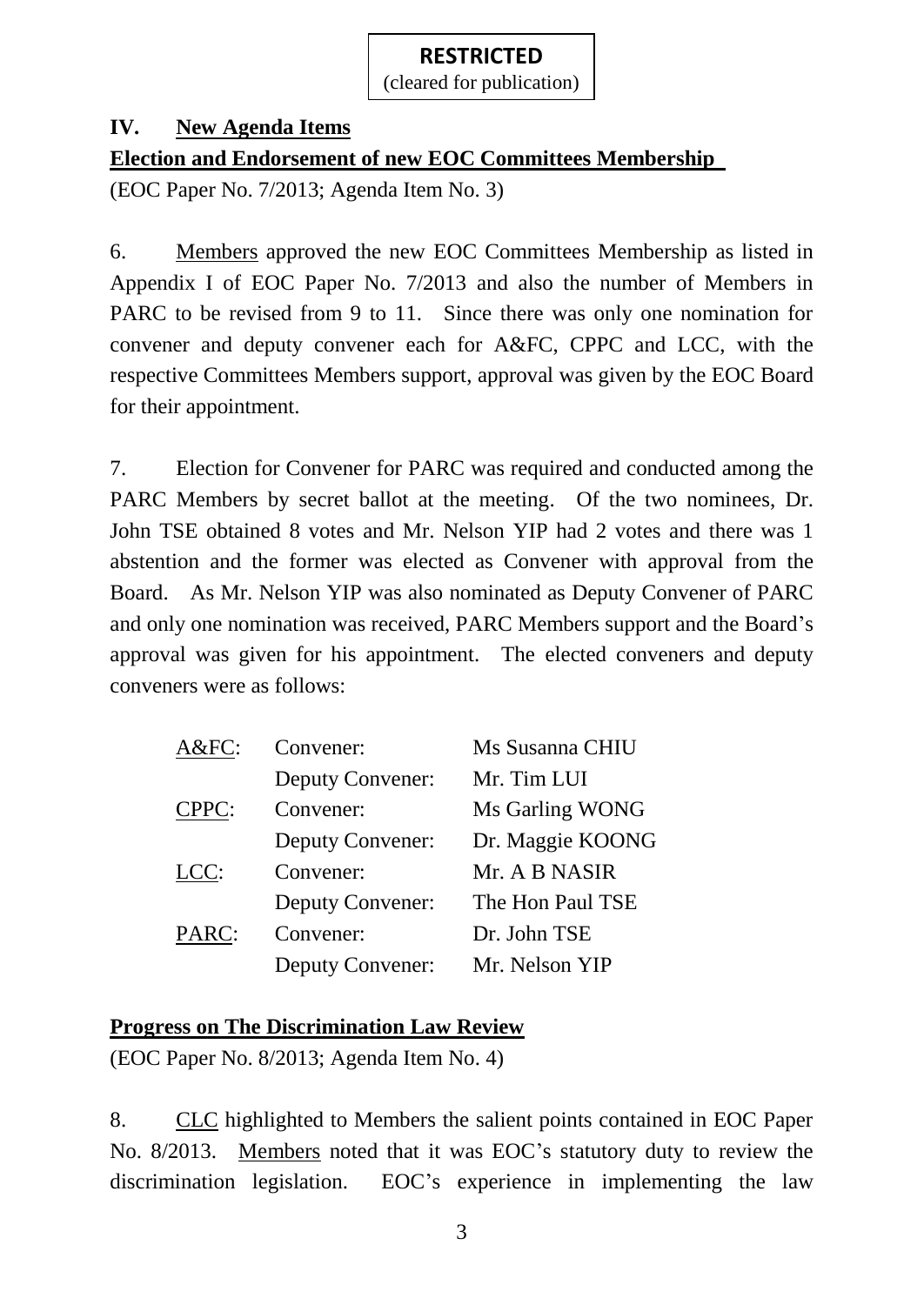### **IV. New Agenda Items**

**Election and Endorsement of new EOC Committees Membership**

(EOC Paper No. 7/2013; Agenda Item No. 3)

6. Members approved the new EOC Committees Membership as listed in Appendix I of EOC Paper No. 7/2013 and also the number of Members in PARC to be revised from 9 to 11. Since there was only one nomination for convener and deputy convener each for A&FC, CPPC and LCC, with the respective Committees Members support, approval was given by the EOC Board for their appointment.

7. Election for Convener for PARC was required and conducted among the PARC Members by secret ballot at the meeting. Of the two nominees, Dr. John TSE obtained 8 votes and Mr. Nelson YIP had 2 votes and there was 1 abstention and the former was elected as Convener with approval from the Board. As Mr. Nelson YIP was also nominated as Deputy Convener of PARC and only one nomination was received, PARC Members support and the Board's approval was given for his appointment. The elected conveners and deputy conveners were as follows:

| $A&FC$ :           | Convener:               | Ms Susanna CHIU  |
|--------------------|-------------------------|------------------|
|                    | <b>Deputy Convener:</b> | Mr. Tim LUI      |
| CPPC:<br>Convener: |                         | Ms Garling WONG  |
|                    | <b>Deputy Convener:</b> | Dr. Maggie KOONG |
| LCC:               | Convener:               | Mr. A B NASIR    |
|                    | <b>Deputy Convener:</b> | The Hon Paul TSE |
| PARC:              | Convener:               | Dr. John TSE     |
|                    | <b>Deputy Convener:</b> | Mr. Nelson YIP   |

## **Progress on The Discrimination Law Review**

(EOC Paper No. 8/2013; Agenda Item No. 4)

8. CLC highlighted to Members the salient points contained in EOC Paper No. 8/2013. Members noted that it was EOC's statutory duty to review the discrimination legislation. EOC's experience in implementing the law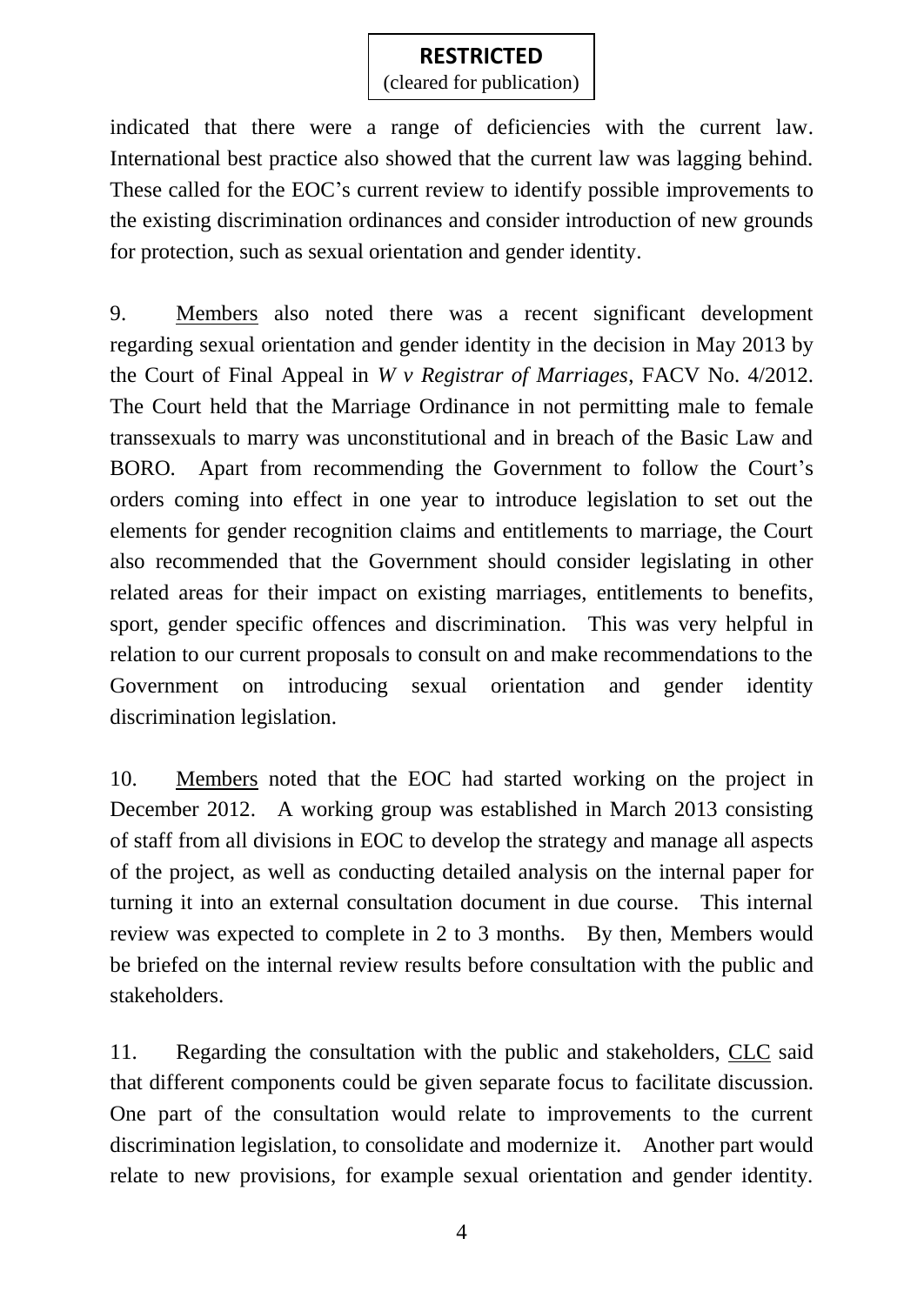(cleared for publication)

indicated that there were a range of deficiencies with the current law. International best practice also showed that the current law was lagging behind. These called for the EOC's current review to identify possible improvements to the existing discrimination ordinances and consider introduction of new grounds for protection, such as sexual orientation and gender identity.

9. Members also noted there was a recent significant development regarding sexual orientation and gender identity in the decision in May 2013 by the Court of Final Appeal in *W v Registrar of Marriages*, FACV No. 4/2012. The Court held that the Marriage Ordinance in not permitting male to female transsexuals to marry was unconstitutional and in breach of the Basic Law and BORO. Apart from recommending the Government to follow the Court's orders coming into effect in one year to introduce legislation to set out the elements for gender recognition claims and entitlements to marriage, the Court also recommended that the Government should consider legislating in other related areas for their impact on existing marriages, entitlements to benefits, sport, gender specific offences and discrimination. This was very helpful in relation to our current proposals to consult on and make recommendations to the Government on introducing sexual orientation and gender identity discrimination legislation.

10. Members noted that the EOC had started working on the project in December 2012. A working group was established in March 2013 consisting of staff from all divisions in EOC to develop the strategy and manage all aspects of the project, as well as conducting detailed analysis on the internal paper for turning it into an external consultation document in due course. This internal review was expected to complete in 2 to 3 months. By then, Members would be briefed on the internal review results before consultation with the public and stakeholders.

11. Regarding the consultation with the public and stakeholders, CLC said that different components could be given separate focus to facilitate discussion. One part of the consultation would relate to improvements to the current discrimination legislation, to consolidate and modernize it. Another part would relate to new provisions, for example sexual orientation and gender identity.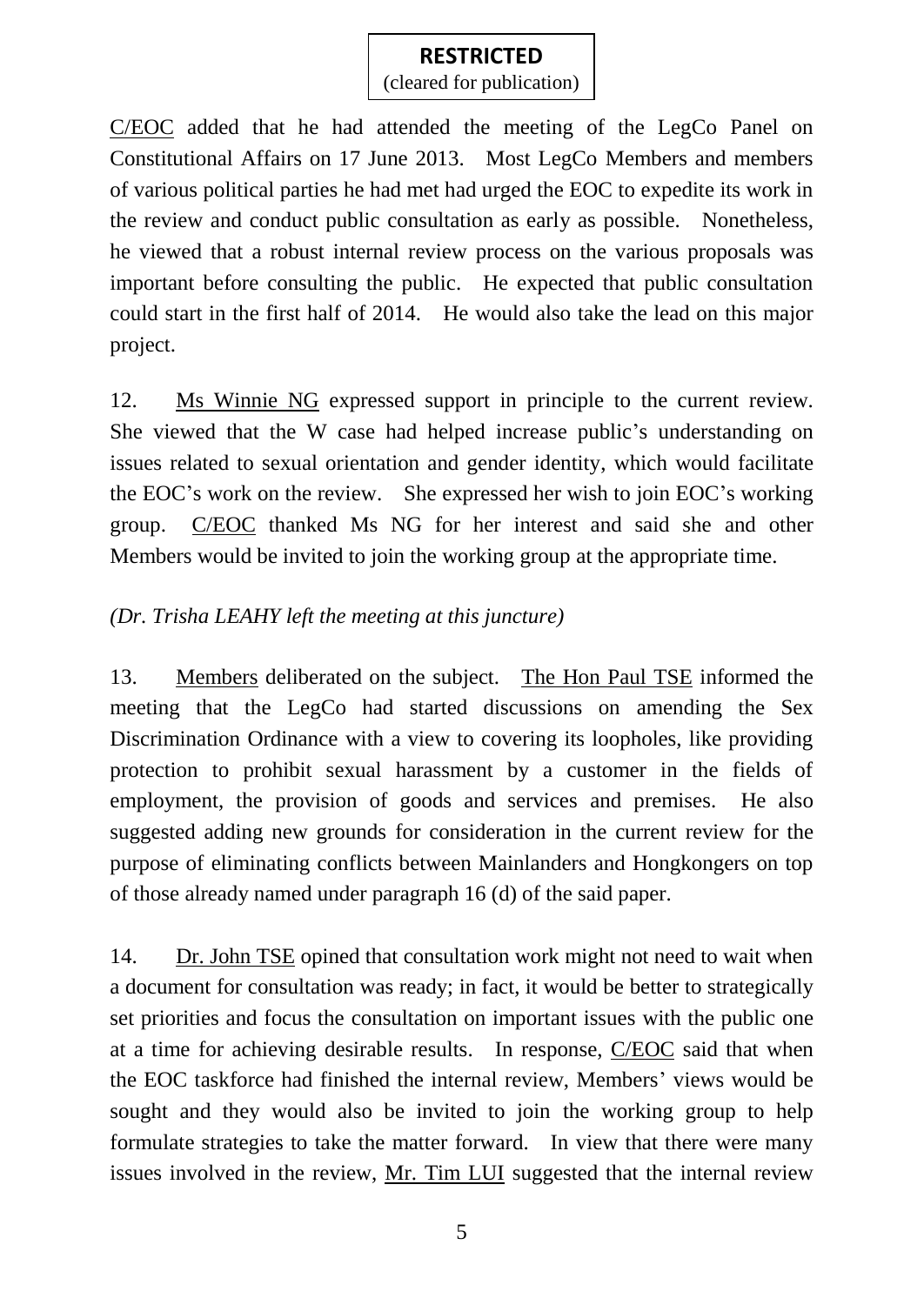(cleared for publication)

C/EOC added that he had attended the meeting of the LegCo Panel on Constitutional Affairs on 17 June 2013. Most LegCo Members and members of various political parties he had met had urged the EOC to expedite its work in the review and conduct public consultation as early as possible. Nonetheless, he viewed that a robust internal review process on the various proposals was important before consulting the public. He expected that public consultation could start in the first half of 2014. He would also take the lead on this major project.

12. Ms Winnie NG expressed support in principle to the current review. She viewed that the W case had helped increase public's understanding on issues related to sexual orientation and gender identity, which would facilitate the EOC's work on the review. She expressed her wish to join EOC's working group. C/EOC thanked Ms NG for her interest and said she and other Members would be invited to join the working group at the appropriate time.

## *(Dr. Trisha LEAHY left the meeting at this juncture)*

13. Members deliberated on the subject. The Hon Paul TSE informed the meeting that the LegCo had started discussions on amending the Sex Discrimination Ordinance with a view to covering its loopholes, like providing protection to prohibit sexual harassment by a customer in the fields of employment, the provision of goods and services and premises. He also suggested adding new grounds for consideration in the current review for the purpose of eliminating conflicts between Mainlanders and Hongkongers on top of those already named under paragraph 16 (d) of the said paper.

14. Dr. John TSE opined that consultation work might not need to wait when a document for consultation was ready; in fact, it would be better to strategically set priorities and focus the consultation on important issues with the public one at a time for achieving desirable results. In response, C/EOC said that when the EOC taskforce had finished the internal review, Members' views would be sought and they would also be invited to join the working group to help formulate strategies to take the matter forward. In view that there were many issues involved in the review, Mr. Tim LUI suggested that the internal review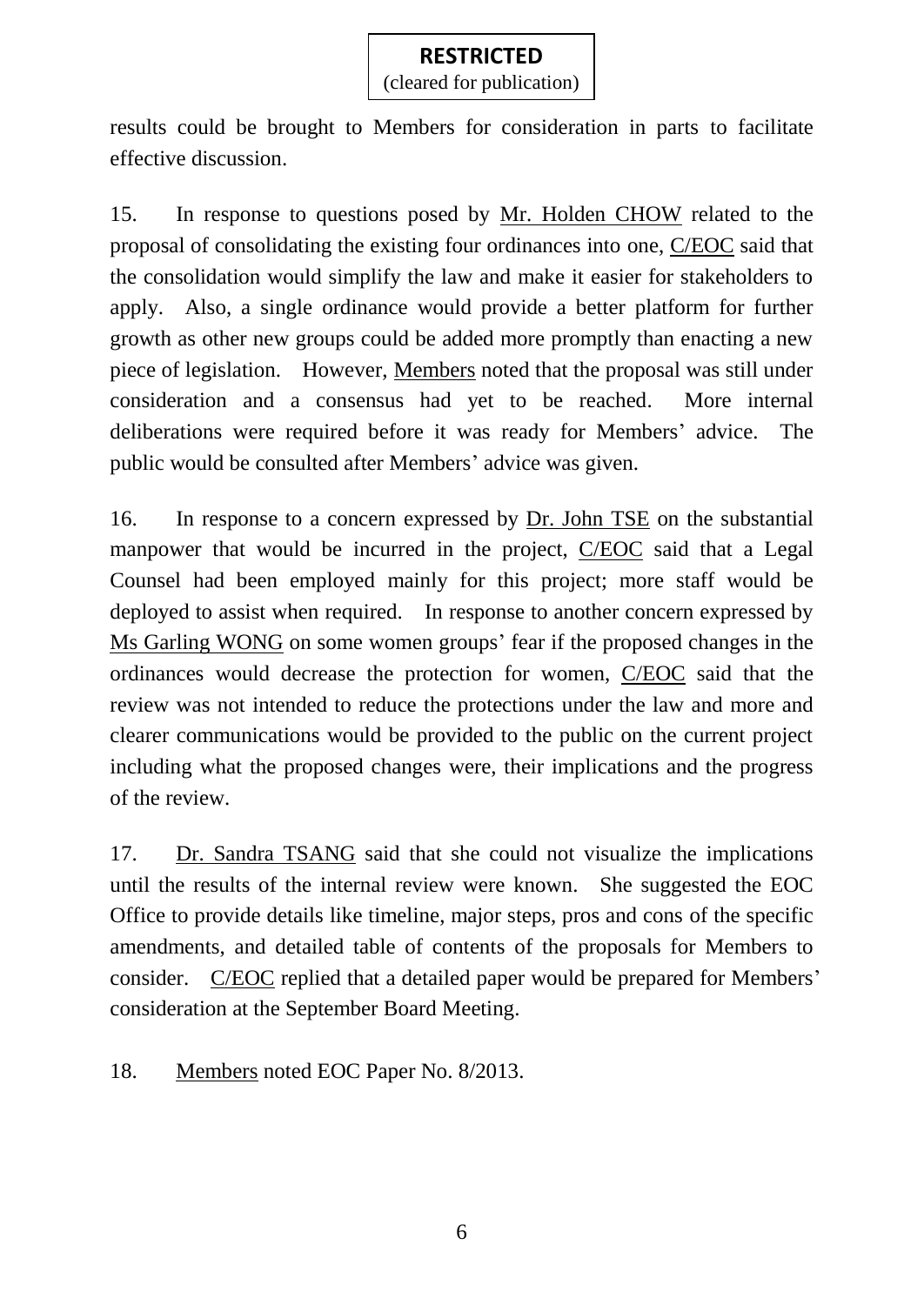results could be brought to Members for consideration in parts to facilitate effective discussion.

15. In response to questions posed by Mr. Holden CHOW related to the proposal of consolidating the existing four ordinances into one, C/EOC said that the consolidation would simplify the law and make it easier for stakeholders to apply. Also, a single ordinance would provide a better platform for further growth as other new groups could be added more promptly than enacting a new piece of legislation. However, Members noted that the proposal was still under consideration and a consensus had yet to be reached. More internal deliberations were required before it was ready for Members' advice. The public would be consulted after Members' advice was given.

16. In response to a concern expressed by Dr. John TSE on the substantial manpower that would be incurred in the project, C/EOC said that a Legal Counsel had been employed mainly for this project; more staff would be deployed to assist when required. In response to another concern expressed by Ms Garling WONG on some women groups' fear if the proposed changes in the ordinances would decrease the protection for women, C/EOC said that the review was not intended to reduce the protections under the law and more and clearer communications would be provided to the public on the current project including what the proposed changes were, their implications and the progress of the review.

17. Dr. Sandra TSANG said that she could not visualize the implications until the results of the internal review were known. She suggested the EOC Office to provide details like timeline, major steps, pros and cons of the specific amendments, and detailed table of contents of the proposals for Members to consider. C/EOC replied that a detailed paper would be prepared for Members' consideration at the September Board Meeting.

18. Members noted EOC Paper No. 8/2013.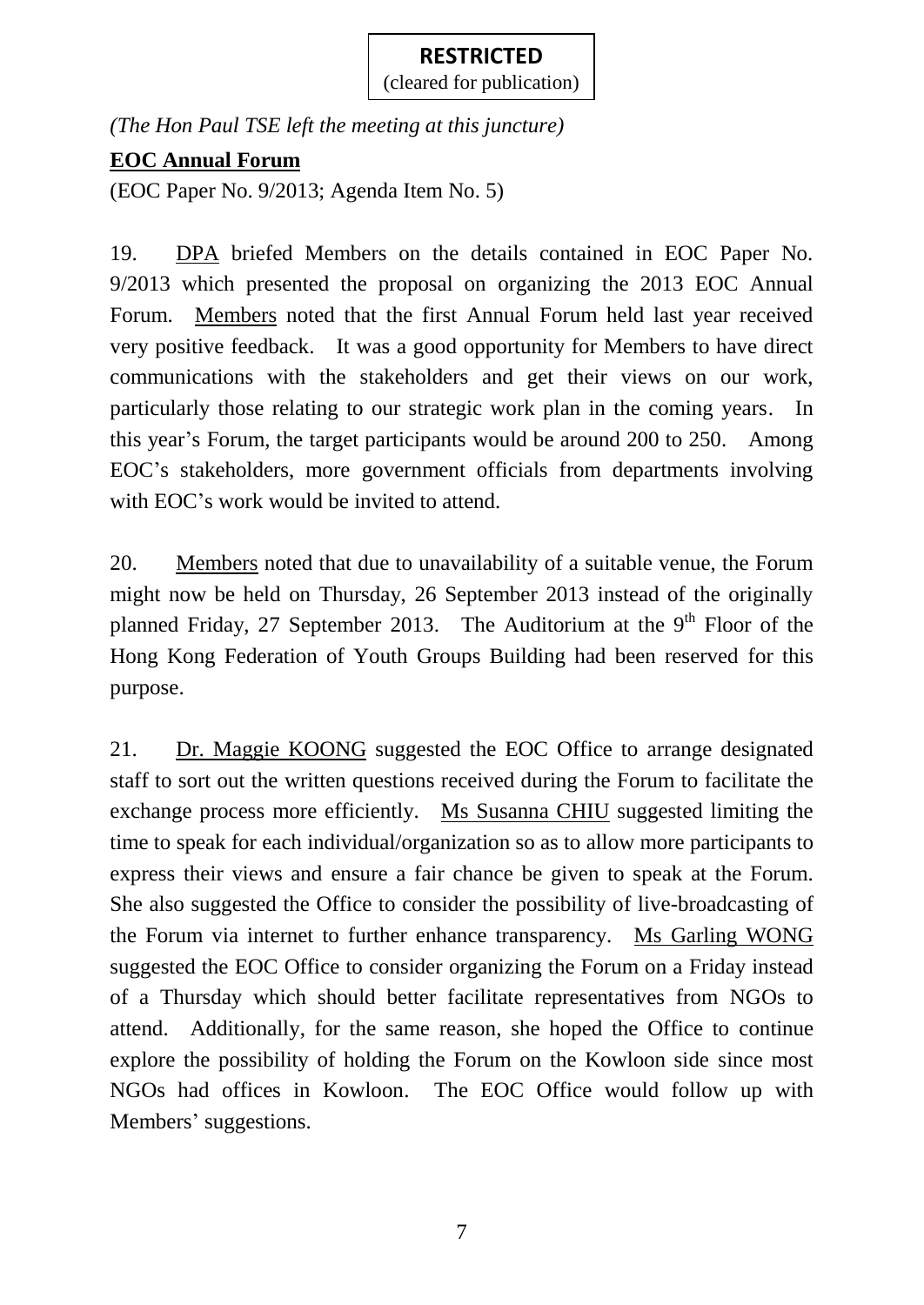(cleared for publication)

*(The Hon Paul TSE left the meeting at this juncture)*

## **EOC Annual Forum**

(EOC Paper No. 9/2013; Agenda Item No. 5)

19. DPA briefed Members on the details contained in EOC Paper No. 9/2013 which presented the proposal on organizing the 2013 EOC Annual Forum. Members noted that the first Annual Forum held last year received very positive feedback. It was a good opportunity for Members to have direct communications with the stakeholders and get their views on our work, particularly those relating to our strategic work plan in the coming years. In this year's Forum, the target participants would be around 200 to 250. Among EOC's stakeholders, more government officials from departments involving with EOC's work would be invited to attend.

20. Members noted that due to unavailability of a suitable venue, the Forum might now be held on Thursday, 26 September 2013 instead of the originally planned Friday, 27 September 2013. The Auditorium at the  $9<sup>th</sup>$  Floor of the Hong Kong Federation of Youth Groups Building had been reserved for this purpose.

21. Dr. Maggie KOONG suggested the EOC Office to arrange designated staff to sort out the written questions received during the Forum to facilitate the exchange process more efficiently. Ms Susanna CHIU suggested limiting the time to speak for each individual/organization so as to allow more participants to express their views and ensure a fair chance be given to speak at the Forum. She also suggested the Office to consider the possibility of live-broadcasting of the Forum via internet to further enhance transparency. Ms Garling WONG suggested the EOC Office to consider organizing the Forum on a Friday instead of a Thursday which should better facilitate representatives from NGOs to attend. Additionally, for the same reason, she hoped the Office to continue explore the possibility of holding the Forum on the Kowloon side since most NGOs had offices in Kowloon. The EOC Office would follow up with Members' suggestions.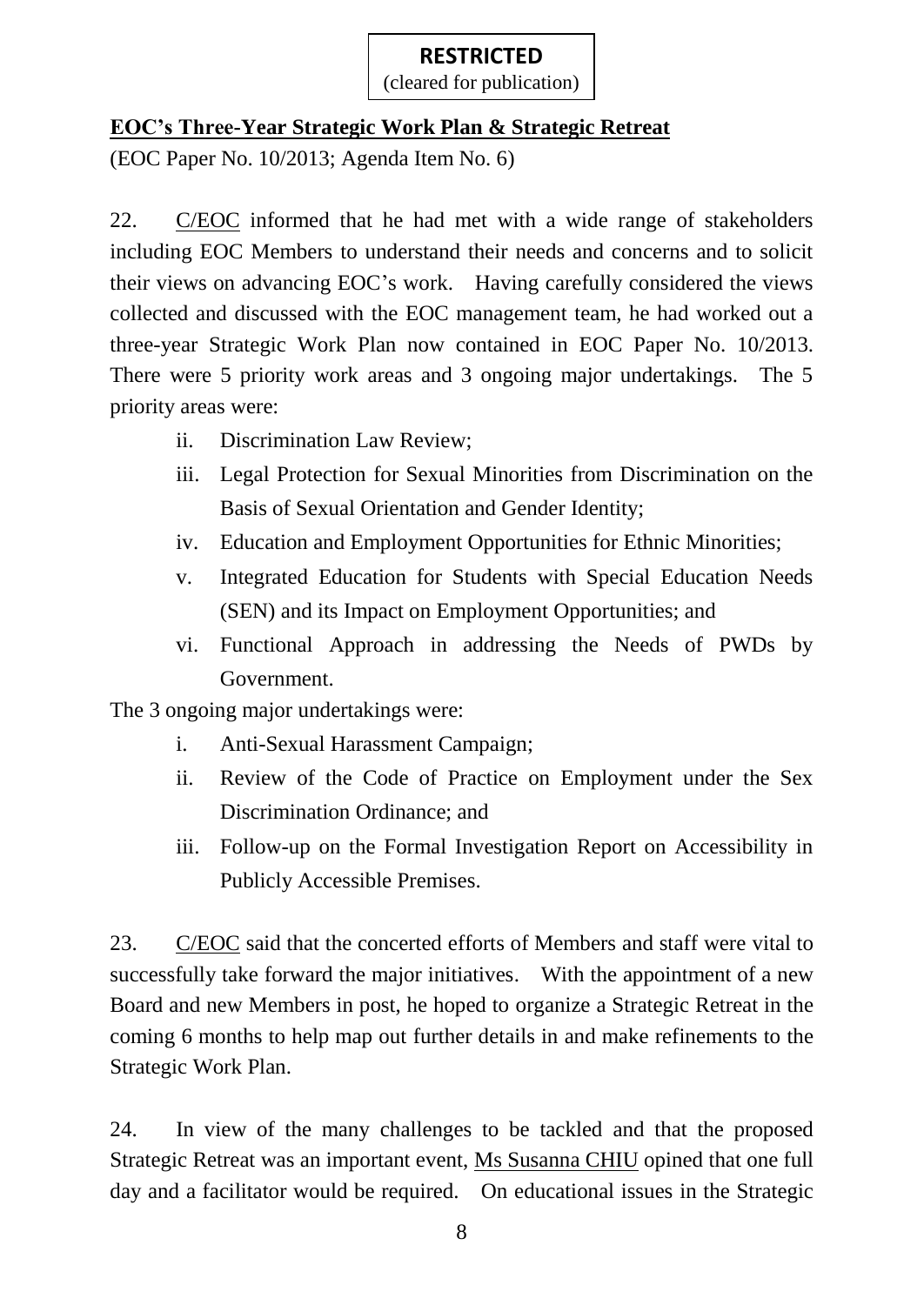## **EOC's Three-Year Strategic Work Plan & Strategic Retreat**

(EOC Paper No. 10/2013; Agenda Item No. 6)

22. C/EOC informed that he had met with a wide range of stakeholders including EOC Members to understand their needs and concerns and to solicit their views on advancing EOC's work. Having carefully considered the views collected and discussed with the EOC management team, he had worked out a three-year Strategic Work Plan now contained in EOC Paper No. 10/2013. There were 5 priority work areas and 3 ongoing major undertakings. The 5 priority areas were:

- ii. Discrimination Law Review;
- iii. Legal Protection for Sexual Minorities from Discrimination on the Basis of Sexual Orientation and Gender Identity;
- iv. Education and Employment Opportunities for Ethnic Minorities;
- v. Integrated Education for Students with Special Education Needs (SEN) and its Impact on Employment Opportunities; and
- vi. Functional Approach in addressing the Needs of PWDs by Government.

The 3 ongoing major undertakings were:

- i. Anti-Sexual Harassment Campaign;
- ii. Review of the Code of Practice on Employment under the Sex Discrimination Ordinance; and
- iii. Follow-up on the Formal Investigation Report on Accessibility in Publicly Accessible Premises.

23. C/EOC said that the concerted efforts of Members and staff were vital to successfully take forward the major initiatives. With the appointment of a new Board and new Members in post, he hoped to organize a Strategic Retreat in the coming 6 months to help map out further details in and make refinements to the Strategic Work Plan.

24. In view of the many challenges to be tackled and that the proposed Strategic Retreat was an important event, Ms Susanna CHIU opined that one full day and a facilitator would be required. On educational issues in the Strategic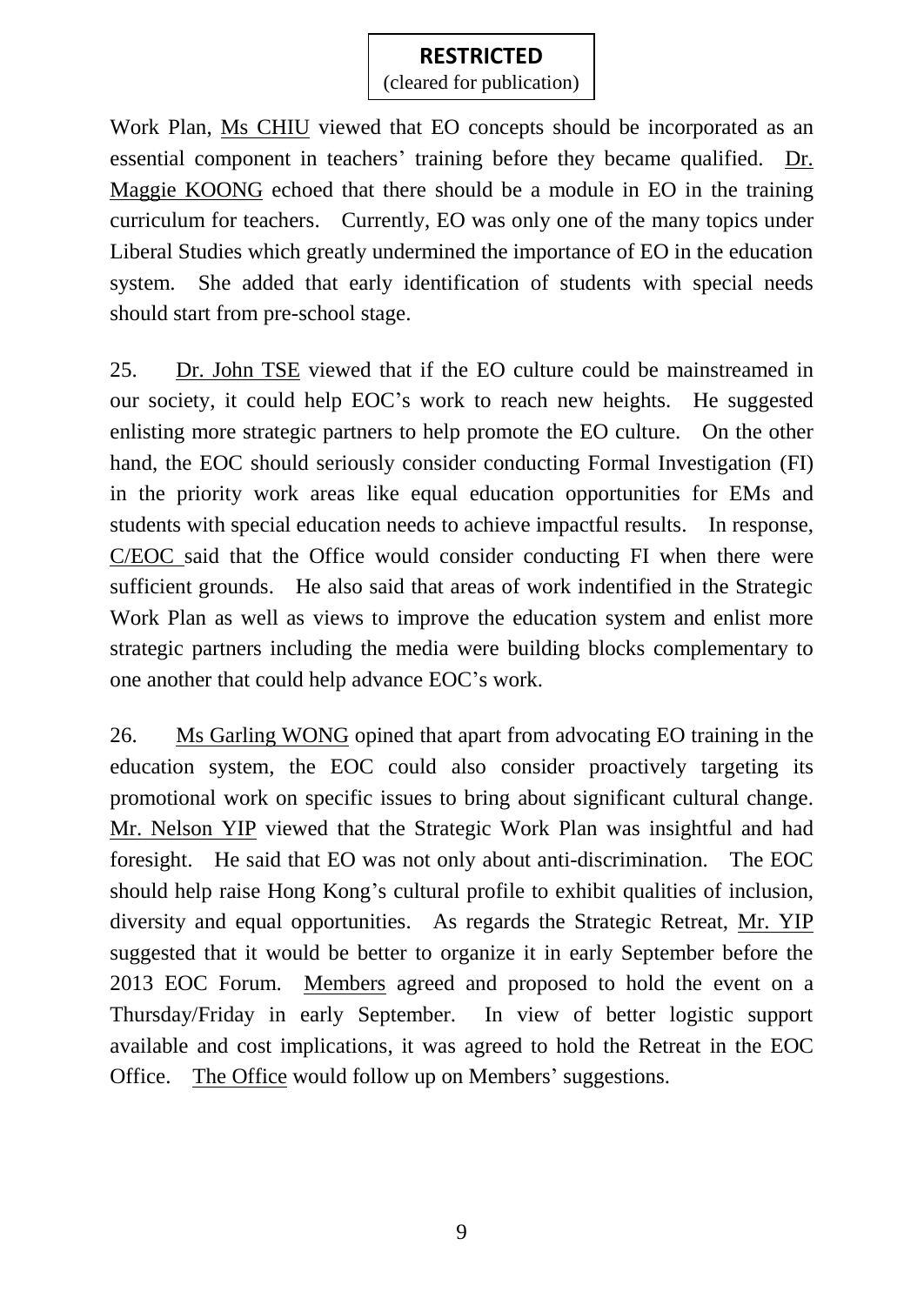(cleared for publication)

Work Plan, Ms CHIU viewed that EO concepts should be incorporated as an essential component in teachers' training before they became qualified. Dr. Maggie KOONG echoed that there should be a module in EO in the training curriculum for teachers. Currently, EO was only one of the many topics under Liberal Studies which greatly undermined the importance of EO in the education system. She added that early identification of students with special needs should start from pre-school stage.

25. Dr. John TSE viewed that if the EO culture could be mainstreamed in our society, it could help EOC's work to reach new heights. He suggested enlisting more strategic partners to help promote the EO culture. On the other hand, the EOC should seriously consider conducting Formal Investigation (FI) in the priority work areas like equal education opportunities for EMs and students with special education needs to achieve impactful results. In response, C/EOC said that the Office would consider conducting FI when there were sufficient grounds. He also said that areas of work indentified in the Strategic Work Plan as well as views to improve the education system and enlist more strategic partners including the media were building blocks complementary to one another that could help advance EOC's work.

26. Ms Garling WONG opined that apart from advocating EO training in the education system, the EOC could also consider proactively targeting its promotional work on specific issues to bring about significant cultural change. Mr. Nelson YIP viewed that the Strategic Work Plan was insightful and had foresight. He said that EO was not only about anti-discrimination. The EOC should help raise Hong Kong's cultural profile to exhibit qualities of inclusion, diversity and equal opportunities. As regards the Strategic Retreat, Mr. YIP suggested that it would be better to organize it in early September before the 2013 EOC Forum. Members agreed and proposed to hold the event on a Thursday/Friday in early September. In view of better logistic support available and cost implications, it was agreed to hold the Retreat in the EOC Office. The Office would follow up on Members' suggestions.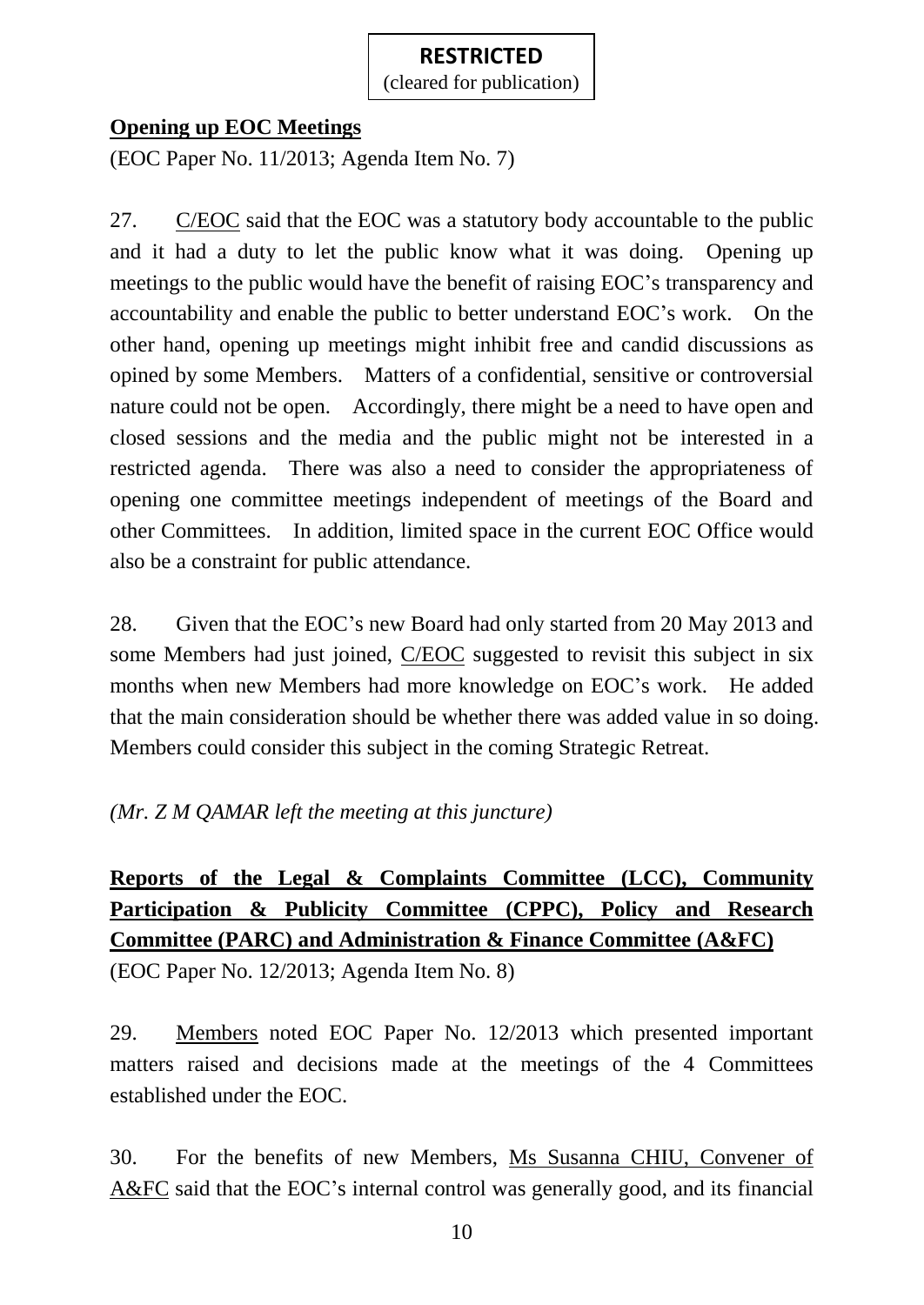(cleared for publication)

#### **Opening up EOC Meetings**

(EOC Paper No. 11/2013; Agenda Item No. 7)

27. C/EOC said that the EOC was a statutory body accountable to the public and it had a duty to let the public know what it was doing. Opening up meetings to the public would have the benefit of raising EOC's transparency and accountability and enable the public to better understand EOC's work. On the other hand, opening up meetings might inhibit free and candid discussions as opined by some Members. Matters of a confidential, sensitive or controversial nature could not be open. Accordingly, there might be a need to have open and closed sessions and the media and the public might not be interested in a restricted agenda. There was also a need to consider the appropriateness of opening one committee meetings independent of meetings of the Board and other Committees. In addition, limited space in the current EOC Office would also be a constraint for public attendance.

28. Given that the EOC's new Board had only started from 20 May 2013 and some Members had just joined, C/EOC suggested to revisit this subject in six months when new Members had more knowledge on EOC's work. He added that the main consideration should be whether there was added value in so doing. Members could consider this subject in the coming Strategic Retreat.

*(Mr. Z M QAMAR left the meeting at this juncture)*

# **Reports of the Legal & Complaints Committee (LCC), Community Participation & Publicity Committee (CPPC), Policy and Research Committee (PARC) and Administration & Finance Committee (A&FC)**

(EOC Paper No. 12/2013; Agenda Item No. 8)

29. Members noted EOC Paper No. 12/2013 which presented important matters raised and decisions made at the meetings of the 4 Committees established under the EOC.

30. For the benefits of new Members, Ms Susanna CHIU, Convener of A&FC said that the EOC's internal control was generally good, and its financial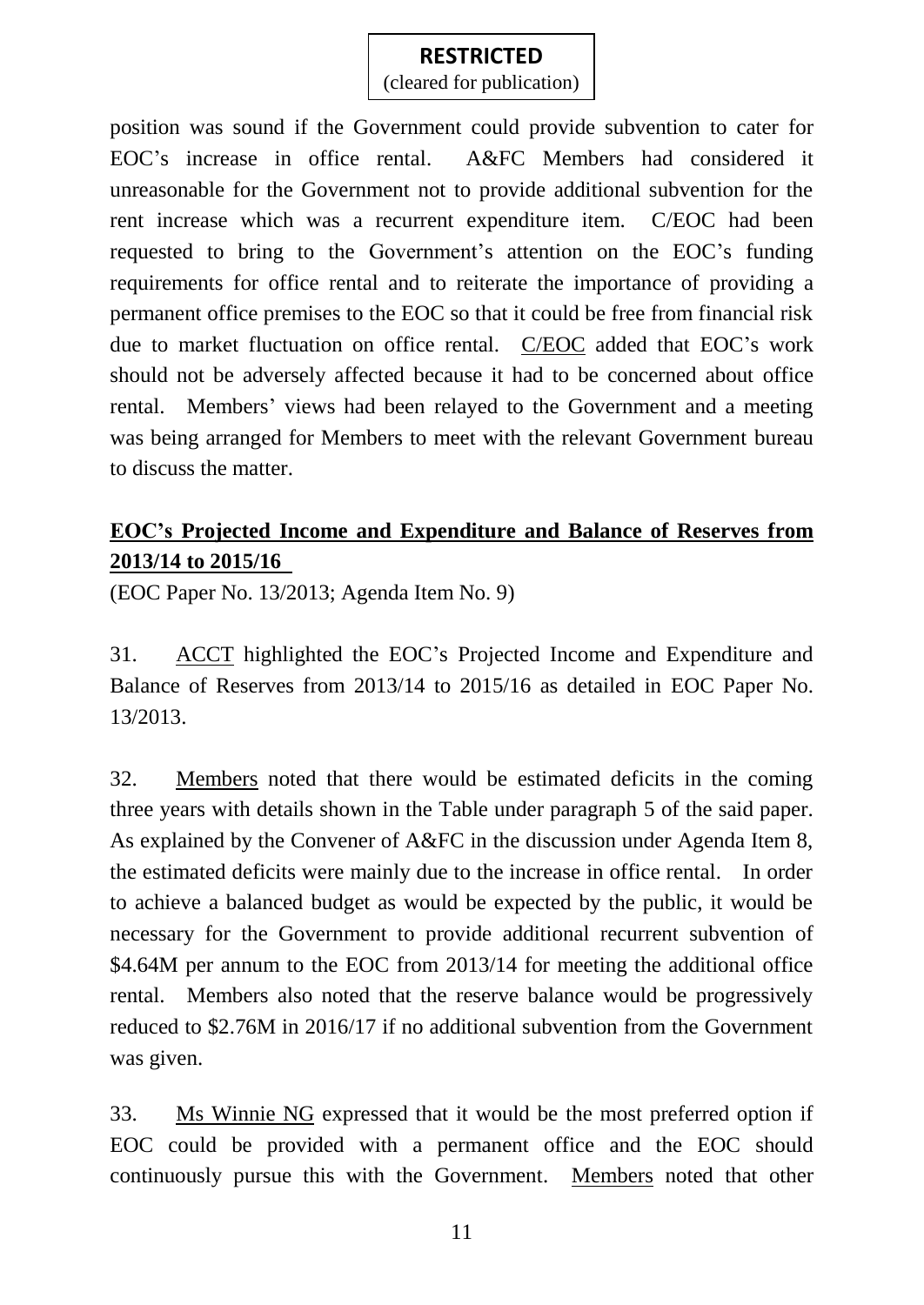(cleared for publication)

position was sound if the Government could provide subvention to cater for EOC's increase in office rental. A&FC Members had considered it unreasonable for the Government not to provide additional subvention for the rent increase which was a recurrent expenditure item. C/EOC had been requested to bring to the Government's attention on the EOC's funding requirements for office rental and to reiterate the importance of providing a permanent office premises to the EOC so that it could be free from financial risk due to market fluctuation on office rental. C/EOC added that EOC's work should not be adversely affected because it had to be concerned about office rental. Members' views had been relayed to the Government and a meeting was being arranged for Members to meet with the relevant Government bureau to discuss the matter.

## **EOC's Projected Income and Expenditure and Balance of Reserves from 2013/14 to 2015/16**

(EOC Paper No. 13/2013; Agenda Item No. 9)

31. ACCT highlighted the EOC's Projected Income and Expenditure and Balance of Reserves from 2013/14 to 2015/16 as detailed in EOC Paper No. 13/2013.

32. Members noted that there would be estimated deficits in the coming three years with details shown in the Table under paragraph 5 of the said paper. As explained by the Convener of A&FC in the discussion under Agenda Item 8, the estimated deficits were mainly due to the increase in office rental. In order to achieve a balanced budget as would be expected by the public, it would be necessary for the Government to provide additional recurrent subvention of \$4.64M per annum to the EOC from 2013/14 for meeting the additional office rental. Members also noted that the reserve balance would be progressively reduced to \$2.76M in 2016/17 if no additional subvention from the Government was given.

33. Ms Winnie NG expressed that it would be the most preferred option if EOC could be provided with a permanent office and the EOC should continuously pursue this with the Government. Members noted that other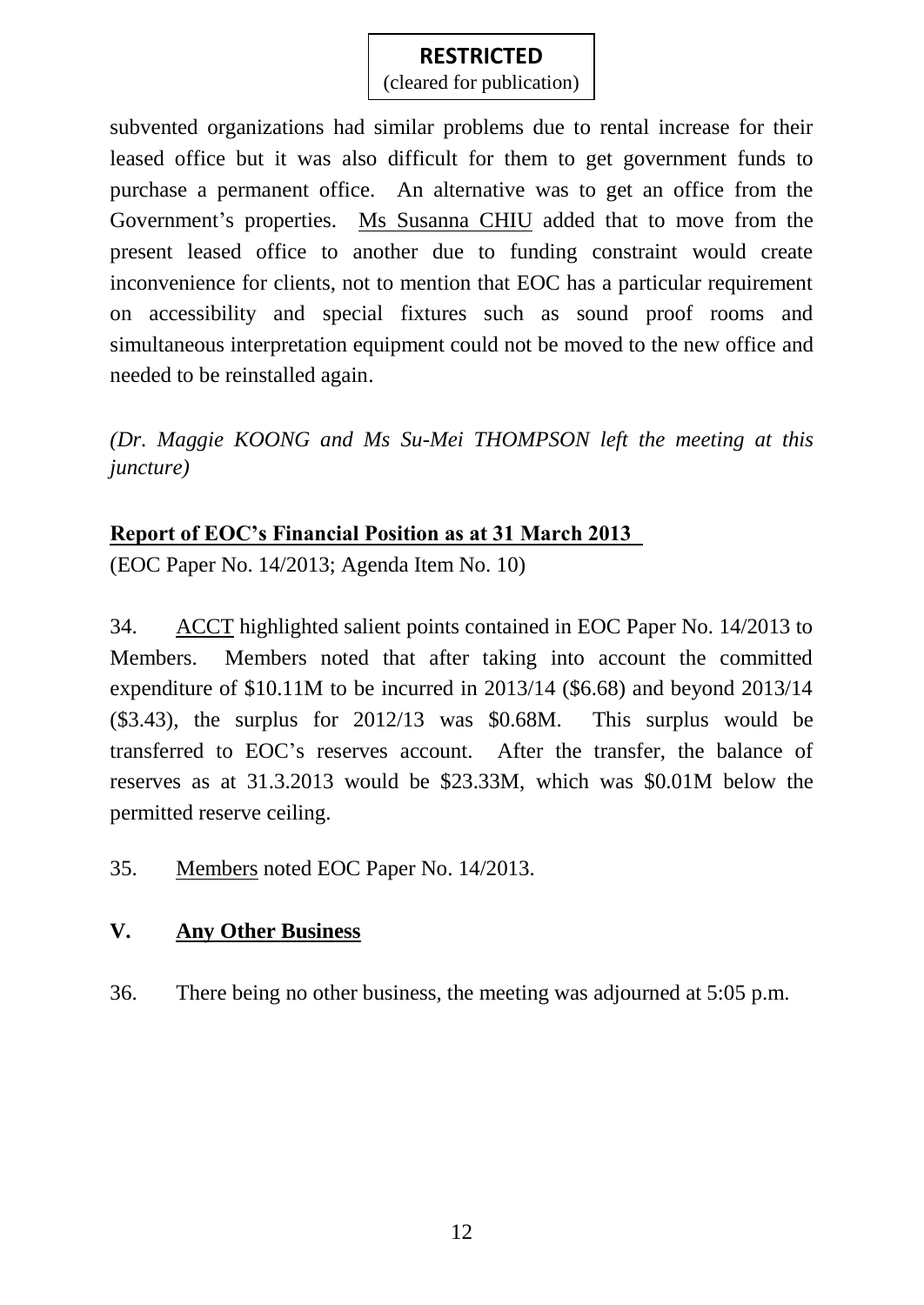(cleared for publication)

subvented organizations had similar problems due to rental increase for their leased office but it was also difficult for them to get government funds to purchase a permanent office. An alternative was to get an office from the Government's properties. Ms Susanna CHIU added that to move from the present leased office to another due to funding constraint would create inconvenience for clients, not to mention that EOC has a particular requirement on accessibility and special fixtures such as sound proof rooms and simultaneous interpretation equipment could not be moved to the new office and needed to be reinstalled again.

*(Dr. Maggie KOONG and Ms Su-Mei THOMPSON left the meeting at this juncture)*

### **Report of EOC's Financial Position as at 31 March 2013**

(EOC Paper No. 14/2013; Agenda Item No. 10)

34. ACCT highlighted salient points contained in EOC Paper No. 14/2013 to Members. Members noted that after taking into account the committed expenditure of \$10.11M to be incurred in 2013/14 (\$6.68) and beyond 2013/14 (\$3.43), the surplus for 2012/13 was \$0.68M. This surplus would be transferred to EOC's reserves account. After the transfer, the balance of reserves as at 31.3.2013 would be \$23.33M, which was \$0.01M below the permitted reserve ceiling.

35. Members noted EOC Paper No. 14/2013.

### **V. Any Other Business**

36. There being no other business, the meeting was adjourned at 5:05 p.m.